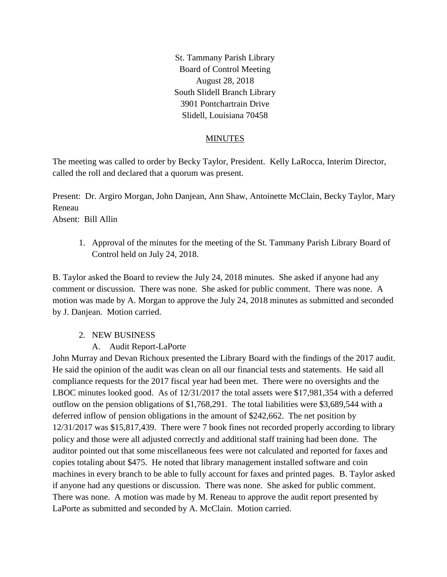St. Tammany Parish Library Board of Control Meeting August 28, 2018 South Slidell Branch Library 3901 Pontchartrain Drive Slidell, Louisiana 70458

## MINUTES

The meeting was called to order by Becky Taylor, President. Kelly LaRocca, Interim Director, called the roll and declared that a quorum was present.

Present: Dr. Argiro Morgan, John Danjean, Ann Shaw, Antoinette McClain, Becky Taylor, Mary Reneau

Absent: Bill Allin

1. Approval of the minutes for the meeting of the St. Tammany Parish Library Board of Control held on July 24, 2018.

B. Taylor asked the Board to review the July 24, 2018 minutes. She asked if anyone had any comment or discussion. There was none. She asked for public comment. There was none. A motion was made by A. Morgan to approve the July 24, 2018 minutes as submitted and seconded by J. Danjean. Motion carried.

## 2. NEW BUSINESS

# A. Audit Report-LaPorte

John Murray and Devan Richoux presented the Library Board with the findings of the 2017 audit. He said the opinion of the audit was clean on all our financial tests and statements. He said all compliance requests for the 2017 fiscal year had been met. There were no oversights and the LBOC minutes looked good. As of 12/31/2017 the total assets were \$17,981,354 with a deferred outflow on the pension obligations of \$1,768,291. The total liabilities were \$3,689,544 with a deferred inflow of pension obligations in the amount of \$242,662. The net position by 12/31/2017 was \$15,817,439. There were 7 book fines not recorded properly according to library policy and those were all adjusted correctly and additional staff training had been done. The auditor pointed out that some miscellaneous fees were not calculated and reported for faxes and copies totaling about \$475. He noted that library management installed software and coin machines in every branch to be able to fully account for faxes and printed pages. B. Taylor asked if anyone had any questions or discussion. There was none. She asked for public comment. There was none. A motion was made by M. Reneau to approve the audit report presented by LaPorte as submitted and seconded by A. McClain. Motion carried.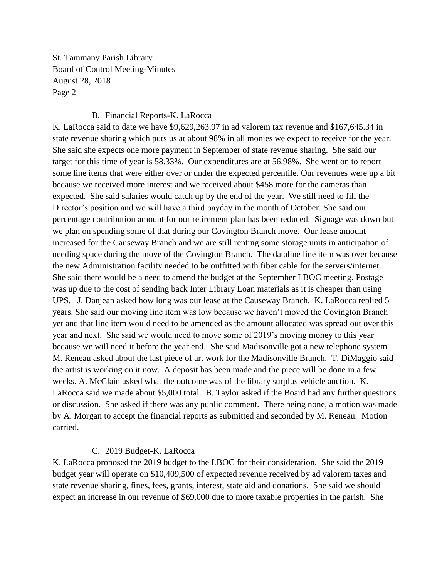St. Tammany Parish Library Board of Control Meeting-Minutes August 28, 2018 Page 2

### B. Financial Reports-K. LaRocca

K. LaRocca said to date we have \$9,629,263.97 in ad valorem tax revenue and \$167,645.34 in state revenue sharing which puts us at about 98% in all monies we expect to receive for the year. She said she expects one more payment in September of state revenue sharing. She said our target for this time of year is 58.33%. Our expenditures are at 56.98%. She went on to report some line items that were either over or under the expected percentile. Our revenues were up a bit because we received more interest and we received about \$458 more for the cameras than expected. She said salaries would catch up by the end of the year. We still need to fill the Director's position and we will have a third payday in the month of October. She said our percentage contribution amount for our retirement plan has been reduced. Signage was down but we plan on spending some of that during our Covington Branch move. Our lease amount increased for the Causeway Branch and we are still renting some storage units in anticipation of needing space during the move of the Covington Branch. The dataline line item was over because the new Administration facility needed to be outfitted with fiber cable for the servers/internet. She said there would be a need to amend the budget at the September LBOC meeting. Postage was up due to the cost of sending back Inter Library Loan materials as it is cheaper than using UPS. J. Danjean asked how long was our lease at the Causeway Branch. K. LaRocca replied 5 years. She said our moving line item was low because we haven't moved the Covington Branch yet and that line item would need to be amended as the amount allocated was spread out over this year and next. She said we would need to move some of 2019's moving money to this year because we will need it before the year end. She said Madisonville got a new telephone system. M. Reneau asked about the last piece of art work for the Madisonville Branch. T. DiMaggio said the artist is working on it now. A deposit has been made and the piece will be done in a few weeks. A. McClain asked what the outcome was of the library surplus vehicle auction. K. LaRocca said we made about \$5,000 total. B. Taylor asked if the Board had any further questions or discussion. She asked if there was any public comment. There being none, a motion was made by A. Morgan to accept the financial reports as submitted and seconded by M. Reneau. Motion carried.

## C. 2019 Budget-K. LaRocca

K. LaRocca proposed the 2019 budget to the LBOC for their consideration. She said the 2019 budget year will operate on \$10,409,500 of expected revenue received by ad valorem taxes and state revenue sharing, fines, fees, grants, interest, state aid and donations. She said we should expect an increase in our revenue of \$69,000 due to more taxable properties in the parish. She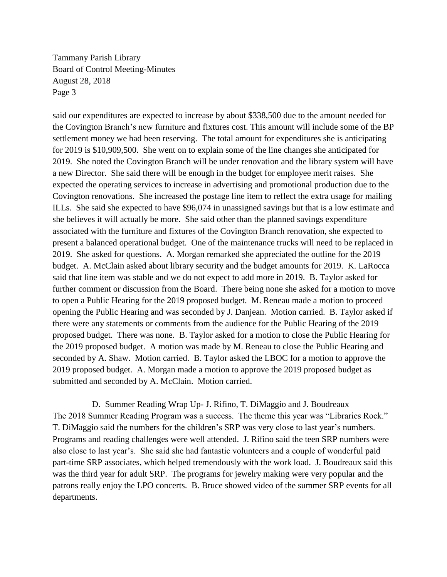Tammany Parish Library Board of Control Meeting-Minutes August 28, 2018 Page 3

said our expenditures are expected to increase by about \$338,500 due to the amount needed for the Covington Branch's new furniture and fixtures cost. This amount will include some of the BP settlement money we had been reserving. The total amount for expenditures she is anticipating for 2019 is \$10,909,500. She went on to explain some of the line changes she anticipated for 2019. She noted the Covington Branch will be under renovation and the library system will have a new Director. She said there will be enough in the budget for employee merit raises. She expected the operating services to increase in advertising and promotional production due to the Covington renovations. She increased the postage line item to reflect the extra usage for mailing ILLs. She said she expected to have \$96,074 in unassigned savings but that is a low estimate and she believes it will actually be more. She said other than the planned savings expenditure associated with the furniture and fixtures of the Covington Branch renovation, she expected to present a balanced operational budget. One of the maintenance trucks will need to be replaced in 2019. She asked for questions. A. Morgan remarked she appreciated the outline for the 2019 budget. A. McClain asked about library security and the budget amounts for 2019. K. LaRocca said that line item was stable and we do not expect to add more in 2019. B. Taylor asked for further comment or discussion from the Board. There being none she asked for a motion to move to open a Public Hearing for the 2019 proposed budget. M. Reneau made a motion to proceed opening the Public Hearing and was seconded by J. Danjean. Motion carried. B. Taylor asked if there were any statements or comments from the audience for the Public Hearing of the 2019 proposed budget. There was none. B. Taylor asked for a motion to close the Public Hearing for the 2019 proposed budget. A motion was made by M. Reneau to close the Public Hearing and seconded by A. Shaw. Motion carried. B. Taylor asked the LBOC for a motion to approve the 2019 proposed budget. A. Morgan made a motion to approve the 2019 proposed budget as submitted and seconded by A. McClain. Motion carried.

D. Summer Reading Wrap Up- J. Rifino, T. DiMaggio and J. Boudreaux The 2018 Summer Reading Program was a success. The theme this year was "Libraries Rock." T. DiMaggio said the numbers for the children's SRP was very close to last year's numbers. Programs and reading challenges were well attended. J. Rifino said the teen SRP numbers were also close to last year's. She said she had fantastic volunteers and a couple of wonderful paid part-time SRP associates, which helped tremendously with the work load. J. Boudreaux said this was the third year for adult SRP. The programs for jewelry making were very popular and the patrons really enjoy the LPO concerts. B. Bruce showed video of the summer SRP events for all departments.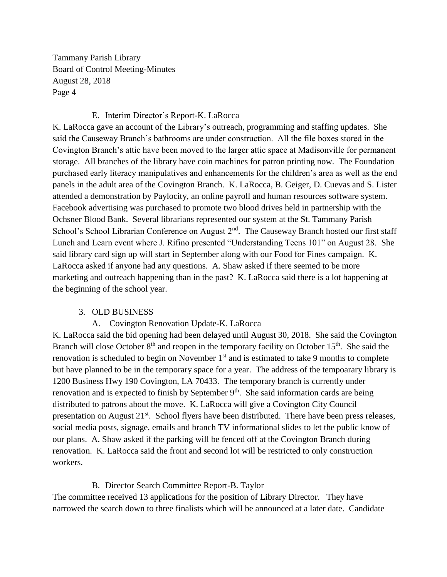Tammany Parish Library Board of Control Meeting-Minutes August 28, 2018 Page 4

## E. Interim Director's Report-K. LaRocca

K. LaRocca gave an account of the Library's outreach, programming and staffing updates. She said the Causeway Branch's bathrooms are under construction. All the file boxes stored in the Covington Branch's attic have been moved to the larger attic space at Madisonville for permanent storage. All branches of the library have coin machines for patron printing now. The Foundation purchased early literacy manipulatives and enhancements for the children's area as well as the end panels in the adult area of the Covington Branch. K. LaRocca, B. Geiger, D. Cuevas and S. Lister attended a demonstration by Paylocity, an online payroll and human resources software system. Facebook advertising was purchased to promote two blood drives held in partnership with the Ochsner Blood Bank. Several librarians represented our system at the St. Tammany Parish School's School Librarian Conference on August 2<sup>nd</sup>. The Causeway Branch hosted our first staff Lunch and Learn event where J. Rifino presented "Understanding Teens 101" on August 28. She said library card sign up will start in September along with our Food for Fines campaign. K. LaRocca asked if anyone had any questions. A. Shaw asked if there seemed to be more marketing and outreach happening than in the past? K. LaRocca said there is a lot happening at the beginning of the school year.

# 3. OLD BUSINESS

# A. Covington Renovation Update-K. LaRocca

K. LaRocca said the bid opening had been delayed until August 30, 2018. She said the Covington Branch will close October  $8<sup>th</sup>$  and reopen in the temporary facility on October 15<sup>th</sup>. She said the renovation is scheduled to begin on November 1<sup>st</sup> and is estimated to take 9 months to complete but have planned to be in the temporary space for a year. The address of the tempoarary library is 1200 Business Hwy 190 Covington, LA 70433. The temporary branch is currently under renovation and is expected to finish by September  $9<sup>th</sup>$ . She said information cards are being distributed to patrons about the move. K. LaRocca will give a Covington City Council presentation on August 21<sup>st</sup>. School flyers have been distributed. There have been press releases, social media posts, signage, emails and branch TV informational slides to let the public know of our plans. A. Shaw asked if the parking will be fenced off at the Covington Branch during renovation. K. LaRocca said the front and second lot will be restricted to only construction workers.

# B. Director Search Committee Report-B. Taylor

The committee received 13 applications for the position of Library Director. They have narrowed the search down to three finalists which will be announced at a later date. Candidate